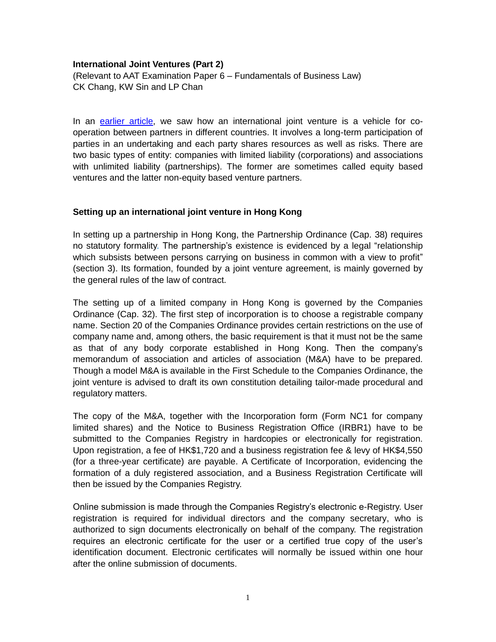### **International Joint Ventures (Part 2)**

(Relevant to AAT Examination Paper 6 – Fundamentals of Business Law) CK Chang, KW Sin and LP Chan

In an [earlier article,](http://www.hkiaat.org/images/uploads/articles/AAT_P6_International_Joint_Ventures-PartI_Kenneth_Chang.pdf) we saw how an international joint venture is a vehicle for cooperation between partners in different countries. It involves a long-term participation of parties in an undertaking and each party shares resources as well as risks. There are two basic types of entity: companies with limited liability (corporations) and associations with unlimited liability (partnerships). The former are sometimes called equity based ventures and the latter non-equity based venture partners.

# **Setting up an international joint venture in Hong Kong**

In setting up a partnership in Hong Kong, the Partnership Ordinance (Cap. 38) requires no statutory formality. The partnership's existence is evidenced by a legal "relationship which subsists between persons carrying on business in common with a view to profit" (section 3). Its formation, founded by a joint venture agreement, is mainly governed by the general rules of the law of contract.

The setting up of a limited company in Hong Kong is governed by the Companies Ordinance (Cap. 32). The first step of incorporation is to choose a registrable company name. Section 20 of the Companies Ordinance provides certain restrictions on the use of company name and, among others, the basic requirement is that it must not be the same as that of any body corporate established in Hong Kong. Then the company's memorandum of association and articles of association (M&A) have to be prepared. Though a model M&A is available in the First Schedule to the Companies Ordinance, the joint venture is advised to draft its own constitution detailing tailor-made procedural and regulatory matters.

The copy of the M&A, together with the Incorporation form (Form NC1 for company limited shares) and the Notice to Business Registration Office (IRBR1) have to be submitted to the Companies Registry in hardcopies or electronically for registration. Upon registration, a fee of HK\$1,720 and a business registration fee & levy of HK\$4,550 (for a three-year certificate) are payable. A Certificate of Incorporation, evidencing the formation of a duly registered association, and a Business Registration Certificate will then be issued by the Companies Registry.

Online submission is made through the Companies Registry's electronic e-Registry. User registration is required for individual directors and the company secretary, who is authorized to sign documents electronically on behalf of the company. The registration requires an electronic certificate for the user or a certified true copy of the user's identification document. Electronic certificates will normally be issued within one hour after the online submission of documents.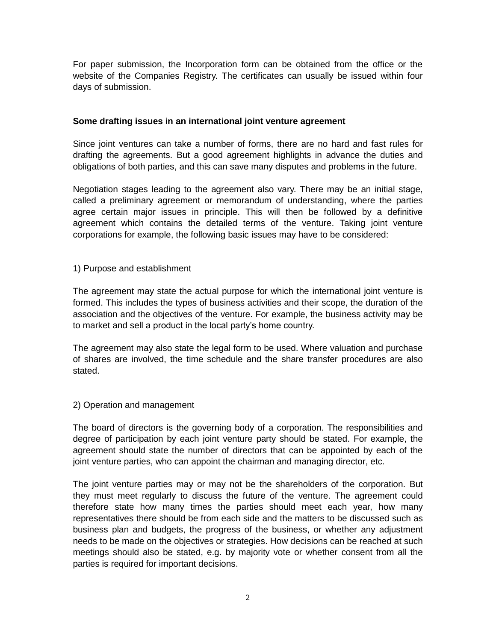For paper submission, the Incorporation form can be obtained from the office or the website of the Companies Registry. The certificates can usually be issued within four days of submission.

### **Some drafting issues in an international joint venture agreement**

Since joint ventures can take a number of forms, there are no hard and fast rules for drafting the agreements. But a good agreement highlights in advance the duties and obligations of both parties, and this can save many disputes and problems in the future.

Negotiation stages leading to the agreement also vary. There may be an initial stage, called a preliminary agreement or memorandum of understanding, where the parties agree certain major issues in principle. This will then be followed by a definitive agreement which contains the detailed terms of the venture. Taking joint venture corporations for example, the following basic issues may have to be considered:

### 1) Purpose and establishment

The agreement may state the actual purpose for which the international joint venture is formed. This includes the types of business activities and their scope, the duration of the association and the objectives of the venture. For example, the business activity may be to market and sell a product in the local party's home country.

The agreement may also state the legal form to be used. Where valuation and purchase of shares are involved, the time schedule and the share transfer procedures are also stated.

# 2) Operation and management

The board of directors is the governing body of a corporation. The responsibilities and degree of participation by each joint venture party should be stated. For example, the agreement should state the number of directors that can be appointed by each of the joint venture parties, who can appoint the chairman and managing director, etc.

The joint venture parties may or may not be the shareholders of the corporation. But they must meet regularly to discuss the future of the venture. The agreement could therefore state how many times the parties should meet each year, how many representatives there should be from each side and the matters to be discussed such as business plan and budgets, the progress of the business, or whether any adjustment needs to be made on the objectives or strategies. How decisions can be reached at such meetings should also be stated, e.g. by majority vote or whether consent from all the parties is required for important decisions.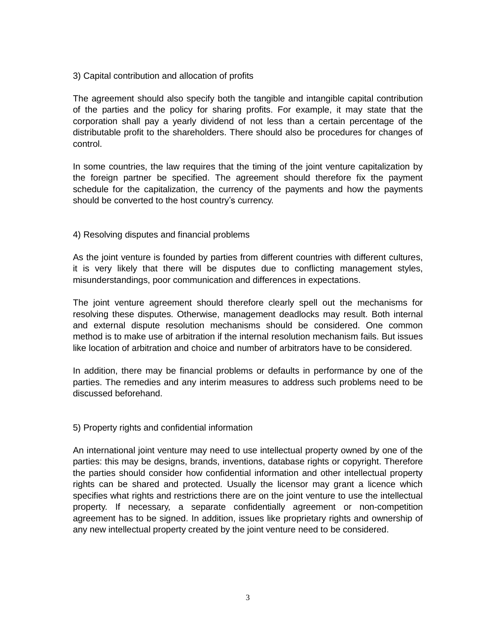3) Capital contribution and allocation of profits

The agreement should also specify both the tangible and intangible capital contribution of the parties and the policy for sharing profits. For example, it may state that the corporation shall pay a yearly dividend of not less than a certain percentage of the distributable profit to the shareholders. There should also be procedures for changes of control.

In some countries, the law requires that the timing of the joint venture capitalization by the foreign partner be specified. The agreement should therefore fix the payment schedule for the capitalization, the currency of the payments and how the payments should be converted to the host country's currency.

### 4) Resolving disputes and financial problems

As the joint venture is founded by parties from different countries with different cultures, it is very likely that there will be disputes due to conflicting management styles, misunderstandings, poor communication and differences in expectations.

The joint venture agreement should therefore clearly spell out the mechanisms for resolving these disputes. Otherwise, management deadlocks may result. Both internal and external dispute resolution mechanisms should be considered. One common method is to make use of arbitration if the internal resolution mechanism fails. But issues like location of arbitration and choice and number of arbitrators have to be considered.

In addition, there may be financial problems or defaults in performance by one of the parties. The remedies and any interim measures to address such problems need to be discussed beforehand.

#### 5) Property rights and confidential information

An international joint venture may need to use intellectual property owned by one of the parties: this may be designs, brands, inventions, database rights or copyright. Therefore the parties should consider how confidential information and other intellectual property rights can be shared and protected. Usually the licensor may grant a licence which specifies what rights and restrictions there are on the joint venture to use the intellectual property. If necessary, a separate confidentially agreement or non-competition agreement has to be signed. In addition, issues like proprietary rights and ownership of any new intellectual property created by the joint venture need to be considered.